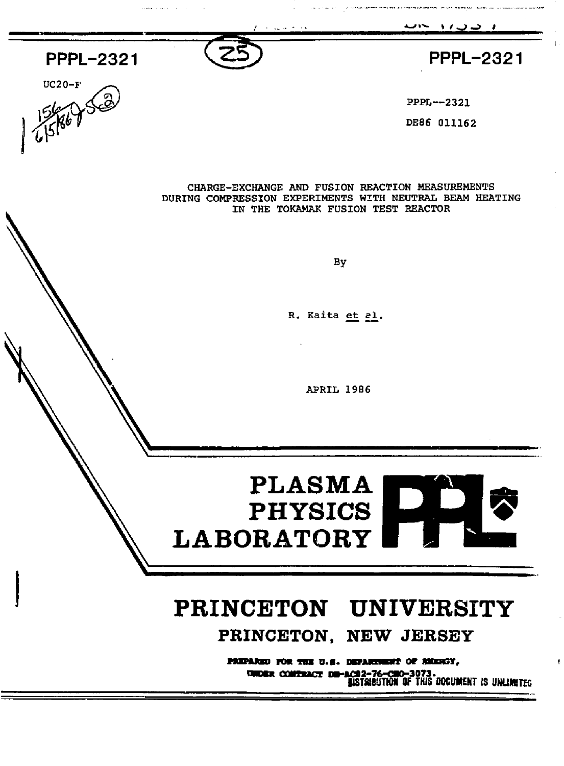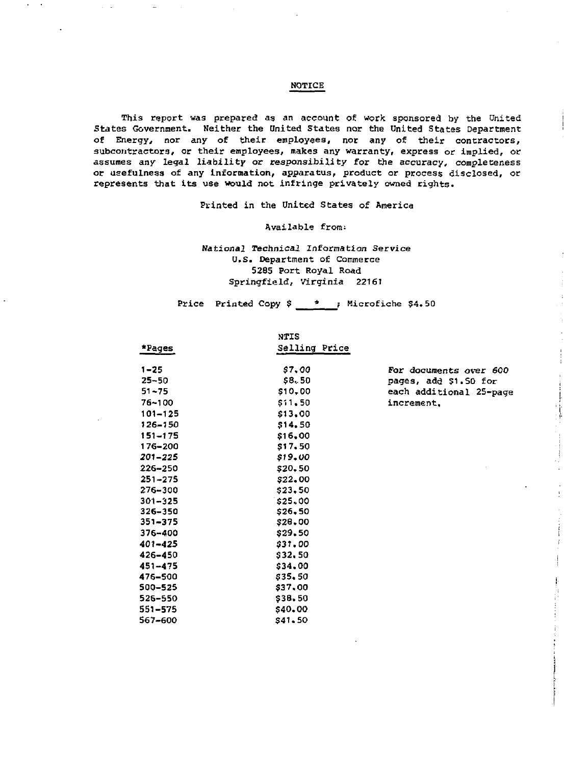### **NOTICE**

This report was prepared as an account of work sponsored by the United States Government. Neither the United States nor the United States Department of Energy, nor any of their employees, nor any of their contractors. subcontractors, or their employees, makes any warranty, express or implied, or assumes any legal liability or responsibility for the accuracy, completeness or usefulness of any information, apparatus, product or process disclosed, or represents that its use would not infringe privately owned rights.

Printed in the United States of America

Available from:

National Technical Information Service U.S. Department of Commerce 5285 Port Royal Road Springfield, Virginia 22161

Price Printed Copy \$ \_  $\rightarrow$  ; Microfiche \$4.50

|             | <b>NTIS</b>   |                         |
|-------------|---------------|-------------------------|
| *Pages      | Selling Price |                         |
| $1 - 25$    | 57.00         | For documents over 600  |
| $25 - 50$   | \$8,50        | pages, add \$1.50 for   |
| $51 - 75$   | \$10,00       | each additional 25-page |
| 76~100      | \$11,50       | increment.              |
| 101-125     | \$13,00       |                         |
| 126-150     | \$14,50       |                         |
| 151-175     |               |                         |
| 176-200     | \$17.50       |                         |
| 201–225     | \$19.00       |                         |
| 226-250     | \$20,50       |                         |
| $251 - 275$ | \$22,00       |                         |
| 276-300     | \$23,50       |                         |
| $301 - 325$ | \$25,00       |                         |
| 326-350     | \$26.50       |                         |
| 351-375     | \$28,00       |                         |
| 376-400     | \$29,50       |                         |
| $401 - 425$ | \$31.00       |                         |
| 426-450     | \$32,50       |                         |
| $451 - 475$ | \$34,00       |                         |
| 476-500     | \$35,50       |                         |
| 500-525     | \$37,00       |                         |
| $526 - 550$ | \$38.50       |                         |
| 551-575     | \$40,00       |                         |
| 567-600     | \$41.50       |                         |
|             |               | \$16,00                 |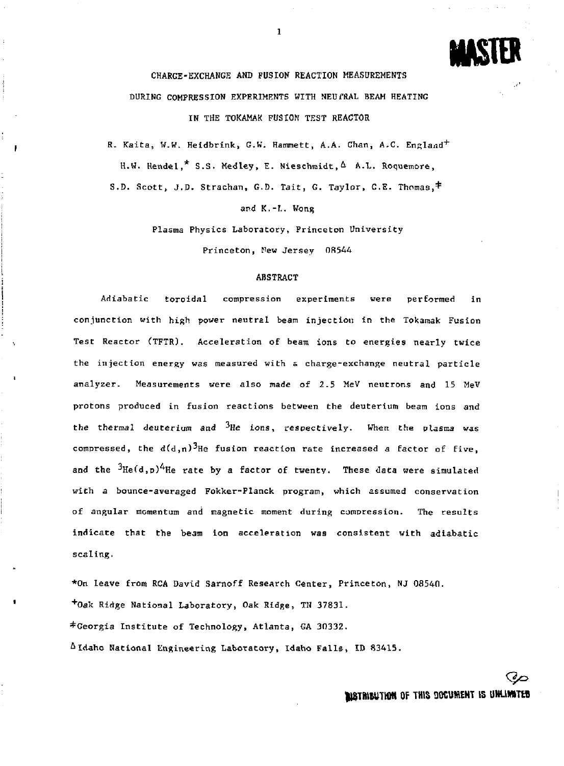**MASTER** 

CHARGE-EXCHANGE AND FUSION REACTION MEASUREMENTS DURING COMPRESSION EXPERIMENTS WITH NEUfRAL BEAM HEATING IN THE TOKAMAK FUSION TEST REACTOR

R. Kaita, W.W. Heidbrink, G.W. Hammett, A.A. Chan, A.C. England<sup>+</sup> H.W. Hendel,\* S.S. Medley, E. Nieschmidt,  $\Delta$  A.L. Roquemore, S.D. Scott, J.D. Strachan, G.D. Tait, G. Taylor, C.E. Thomas,\*

and K.-I.. Wong

Plasma Physics Laboratory, Princeton University

Princeton, Pew Jersey 0R544

# ABSTRACT

Adiabatic toroidal compression experiments were performed in conjunction with high power neutral beam injection in the Tokamak Fusion Test Reactor (TFTR). Acceleration of beam ions to energies nearly twice the injection energy was measured with s charge-exchange neutral particle analyzer. Measurements were also made of 2.5 MeV neutrons and 15 MeV protons produced in fusion reactions between the deuterium beam ions and the thermal deuterium and  ${}^{3}$ He ions, respectively. When the plasma was compressed, the  $d(d,n)^3$ He fusion reaction rate increased a factor of five, and the  $3\text{He}(d,p)^4$ He rate by a factor of twenty. These data were simulated with a bounce-averaged Fokker-Planck program, which assumed conservation of angular momentum and magnetic moment during compression. The results indicate that the beam ion acceleration was consistent with adiabatic scaling.

\*On leave from RCA David Sarnoff Research Center, Princeton, NJ 08540. <sup>+</sup> Oak Ridge National Laboratory, Oak Ridge, TH 37831. ^Georgia Institute of Technology, Atlanta, GA 30332. A Idaho Rational Engineering Laboratory, Idaho Falls, ID 83415.

**IKTRIEUTHM <sup>0</sup> f 1Hl <sup>S</sup> HKUMENT IS UHUMT»**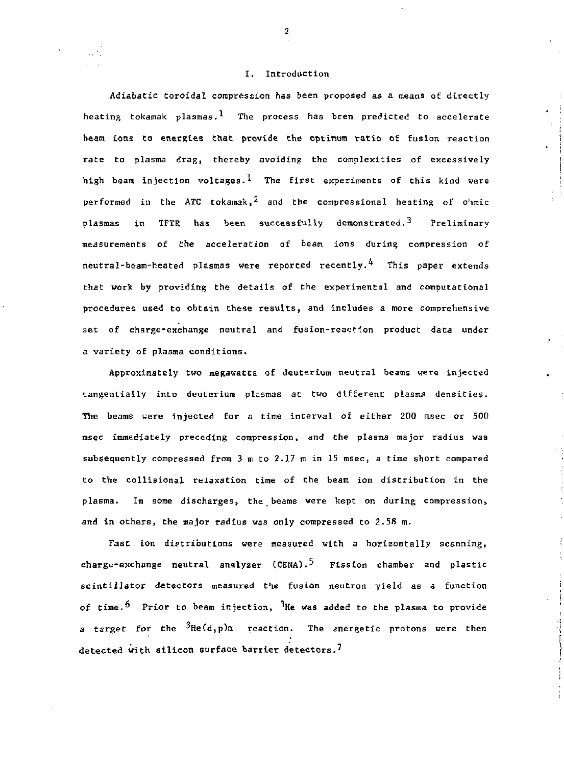### I. Introduction

Adiabatic toroidal compression has been proposed as a means of directly heating tokamak plasmas.<sup>1</sup> The process has been predicted to accelerate beam ions to energies that provide the optimum ratio or fusion reaction rate to plasma drag, thereby avoiding the complexities of excessively high beam injection voltages.<sup>1</sup> The first experiments of this kind were performed in the ATC tokamak,<sup>2</sup> and the compressional heating of o'nmic plasmas in TFTR has been successfully demonstrated.<sup>3</sup> Preliminary measurements of the acceleration of beam ions during compression of neutral-beam-heated plasmas were reported recently.<sup>4</sup> This paper extends that work by providing the details of the experimental and computational procedures used to obtain these results, and includes a more comprehensive set of charge-exchange neutral and fusion-reaction product data under a variety of plasma conditions.

Approximately two megawatts of deuterium neutral beams were injected tangentially into deuterium plasmas at two different plasma densities-The beams were injected for a time interval of either 200 msec or 500 msec immediately preceding compression, and the plasma major radius was subsequently compressed from  $3$  m to  $2.17$  m in 15 msec, a time short compared to the collisional relaxation time of the beam ion distribution in the plasma. In some discharges, the beams were kept on during compression, and in others, the major radius was only compressed to  $2.58$  m.

 $\ddot{\phantom{a}}$ 

Fast ion distributions were measured with a horizontally scanning, charge-exchange neutral analyzer (CENA).<sup>5</sup> Fission chamber and plastic scintillator detectors measured the fusion neutron yield as a function of time.<sup>5</sup> Prior to beam injection,  ${}^{3}$ He was added to the plasma to provide a target for the  ${}^{3}$ He(d,p) $\alpha$  reaction. The anergetic protons were then detected with silicon surface barrier detectors.<sup>7</sup>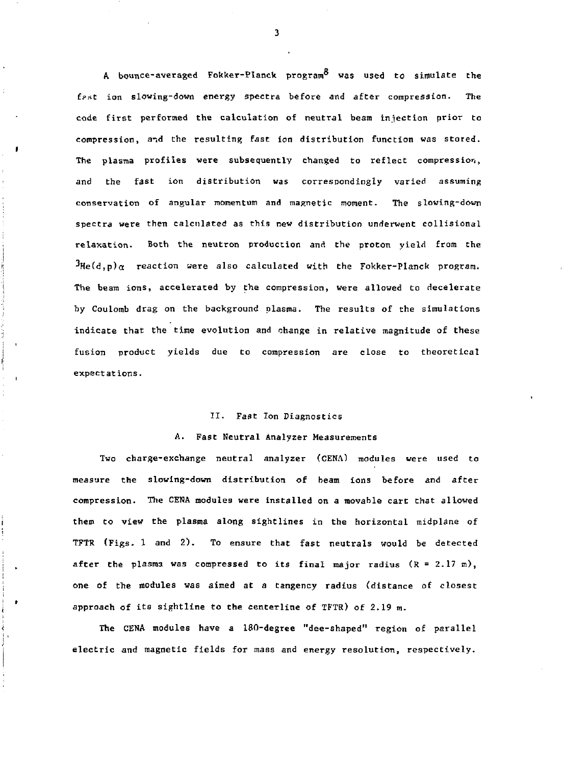A bounce-averaged Fokker-Planck program<sup>8</sup> was used to simulate the fast ion slowing-down energy spectra before and after compression. The code first performed the calculation of neutral beam infection prior to compression, and the resulting fast ion distribution function was stored. The plasma profiles were subsequently changed to reflect compression, and the fast ion distribution was correspondingly varied assuming conservation of angular momentum and magnetic moment. The slowing-doun spectra were then calculated as this new distribution underwent collisional relaxation. Both the neutron production and the proton yield from the  $H^3He(d,p)\alpha$  reaction were also calculated with the Fokker-Planck program. The beam ions, accelerated by the compression, were allowed to decelerate by Coulomb drag on the background plasma. The results of the simulations indicate that the time evolution and change in relative magnitude of these fusion product yields due to compression are close to theoretical expectations.

### II. Fast Ion Diagnostics

### A. Fast Neutral Analyzer Measurements

Two charge-exchange neutral analyzer (CENA) modules were used to measure the slowing-down distribution of beam ions before and after compression. The CENA modules were installed on a movable cart that allowed them to view the plasma along sightlines in the horizontal midplane of TFTR (Figs. 1 and 2). To ensure that fast neutrals would be detected after the plasma was compressed to its final major radius  $(R = 2.17 \text{ m})$ , one of the modules was aimed at a tangency radius (distance of closest approach of its sightline to the centerline of TFTR) of 2.19 m.

The CENA modules have a 180-degree "dee-shaped" region of parallel electric and magnetic fields for mass and energy resolution, respectively.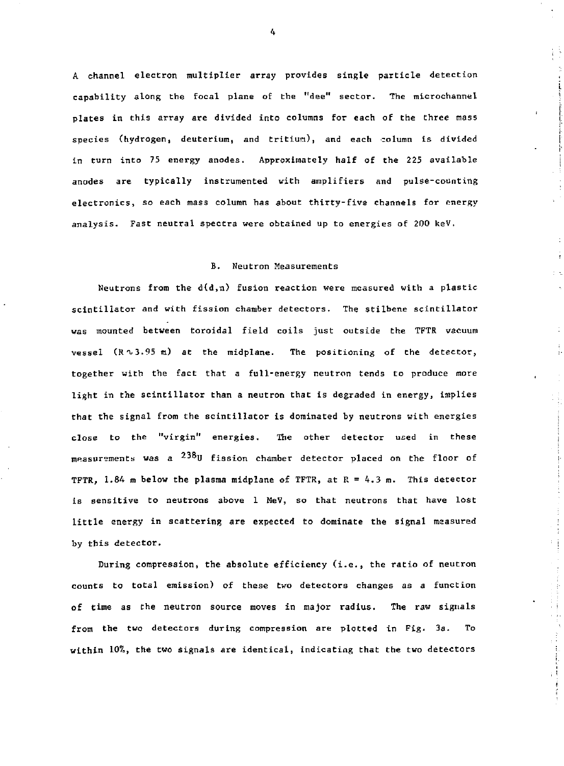A channel electron multiplier array provides single particle detection capability along the focal plane of the "dee" sector. The microchannel plates in this array are divided into columns for each of the three mass species (hydrogen, deuterium, and tritium), and each column is divided in turn into 75 energy anodes. Approximately half of the 225 available anodes are typically instrumented with amplifiers and pulse-counting electronics, so each mass column has about thirty-five channels for energy analysis. Fast neutral spectra were obtained up to energies of 200 keV.

# B. Neutron Measurements

Neutrons from the  $d(d,n)$  fusion reaction were measured with a plastic scintillator and with fission chamber detectors. The stilbene scintillator was mounted between toroidal field coils just outside the TFTR vacuum vessel  $(R \sim 3.95 \text{ m})$  at the midplane. The positioning of the detector, together with the fact that a full-energy neutron tends to produce more light in the scintillator than a neutron that is degraded in energy, implies that the signal from the scintillator is dominated by neutrons with energies close to the "virgin" energies. The other detector uced in these measurements was a  $^{238}$ U fission chamber detector placed on the floor of TFTR, 1.84 m below the plasma midplane of TFTR, at E = 4.3 m. This detector is sensitive to neutrons above 1 MeV, so that neutrons that have lost little energy in scattering are expected to dominate the signal measured by this detector.

During compression, the absolute efficiency (i.e., the ratio of neutron counts to total emission) of these two detectors changes as a function of time as the neutron source moves in major radius. The raw signals from the two detectors during compression are plotted in Fig. 3a. To within 10%, the two signals are identical, indicating that the two detectors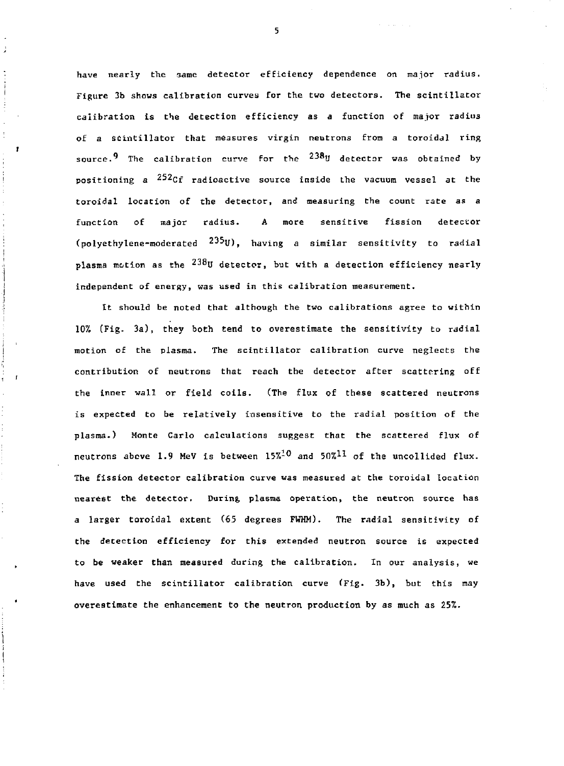have nearly the Game detector efficiency dependence on major radius. Figure 3b shows calibration curves for the two detectors. The scintillator calibration is the detection efficiency as a function of major radius of a scintillator that measures virgin neutrons from a toroidal ring source.<sup>9</sup> The calibration curve for the  $^{238}$ U detector was obtained by positioning a <sup>252</sup>Cf radioactive source inside the vacuum vessel at the toroidal location of the detector, and measuring the count rate as a function of major radius. A more sensitive fission detector (polyethylene-moderated  $235y$ ), having a similar sensitivity to radial plasma motion as the  $^{238}$ U detector, but with a detection efficiency nearly independent of energy, was used in this calibration measurement.

It should be noted that although the two calibrations agree to within 10% (Fig. 3a), they both tend to overestimate the sensitivity to radial motion of the plasma. The scintillator calibration curve neglects the contribution of neutrons that reach the detector after scattering off the inner wall or field coils. (The flux of these scattered neutrons is expected to be relatively insensitive to the radial position of the plasma.) Monte Carlo calculations suggest that the scattered flux of neutrons above 1.9 MeV is between  $15\frac{10}{9}$  and  $50\frac{11}{9}$  of the uncollided flux. The fission detector calibration curve was measured at the toroidal location nearest the detector. During plasma operation, the neutron source has a larger toroidal extent (65 degrees FWHM). The radial sensitivity of the detection efficiency for this extended neutron source is expected to be weaker than measured during the calibration. In our analysis, we have used the scintillator calibration curve (Fig. 3b), but this may overestimate the enhancement to the neutron production by as much as 25%.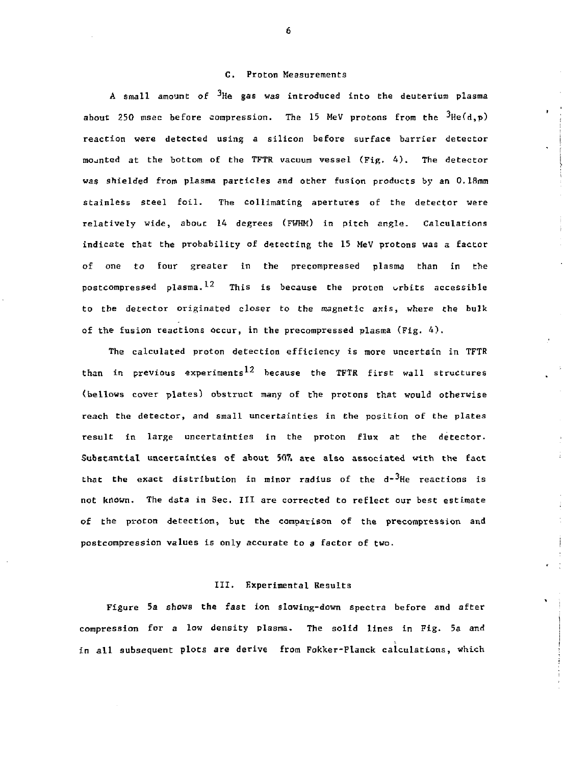### C. Proton Measurements

A small amount of <sup>3</sup>He gas was introduced into the deuterium plasma about 250 msec before compression. The 15 MeV protons from the  ${}^{3}He(d,p)$ reaction were detected using a silicon before surface barrier detector mounted at the bottom of the TFTR vacuum vessel (Fig. 4). The detector was shielded from plasma particles and other fusion products by an O.lfimm stainless steel foil. The collimating apertures of the detector were relatively wide, about 14 degrees (FWHM) in pitch angle. Calculations indicate that the probability of detecting the 15 MeV protons was a factor of one to four greater in the precompressed plasma than in the postcompressed plasma.<sup>12</sup> This is because the proton orbits accessible to the detector originated closer to the magnetic axis, where the bulk of the fusion reactions occur, in the precompressed plasma (Fig. 4).

The calculated proton detection efficiency is more uncertain in TFTR than in previous experiments<sup>12</sup> because the TFTR first wall structures (bellows cover plates) obstruct many of the protons that would otherwise reach the detector, and small uncertainties in the position of the plates result in large uncertainties in the proton flux at the detector. Substantial uncertainties of about 507. ate also associated with the fact that the exact distribution in minor radius of the  $d^2$ He reactions is not known. The data in Sec. Ill are corrected to reflect our best estimate of the proton detection, but the comparison of the precompression and postcompression values is only accurate to *a* factor of two.

### III. Experimental Results

Figure 5a shows the fast ion slowing-down spectra before and after compression for a low density plasma. The solid lines in Fig. 5a and in all subsequent plots **are** derive from Fokker-Flanck calculations, which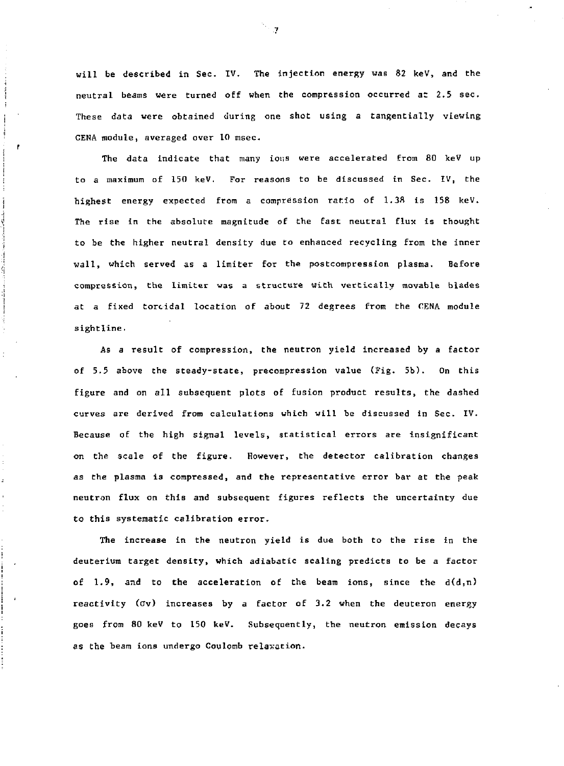will be described in Sec. IV. The injection energy was 82 keV, and the neutral beams were turned off when the compression occurred at 2.5 sec. These data were obtained during one shot using a tangentially viewing CENA module, averaged over 10 msec.

The data indicate that many ions were accelerated from 80 keV up to a maximum of 150 keV. For reasons to be discussed in Sec. IV, the highest energy expected from a compression ratio of  $1.38$  is 158 keV. The rise in the absolute magnitude of the fast neutral flux is thought to be the higher neutral density due to enhanced recycling from the inner wall, which served as a limiter for the postcompression plasma. Before compression, the limiter was a structure with vertically movable blades at a fixed toroidal location of about 72 degrees from the CENA module sightline.

As a result of compression, the neutron yield increased by a factor of 5.5 above the steady-state, precompression value (Fig. 5b). On this figure and on all subsequent plots of fusion product results, the dashed curves are derived from calculations which will be discussed in Sec. IV. Because of the high signal levels, statistical errors are insignificant on the scale of the figure. However, the detector calibration changes as the plasma is compressed, and the representative error bar at the peak neutron flux on this and subsequent figures reflects the uncertainty due to this systematic calibration error.

The increase in the neutron yield is due both to the rise in the deuterium target density, which adiabatic scaling predicts to be a factor of 1.9, and to the acceleration of the beam ions, since the  $d(d,n)$ reactivity (ov) increases by a factor of 3.2 when the deuteron energy goes from 80 keV to 150 keV. Subsequently, the neutron emission decays as the beam ions undergo Coulomb relaxation.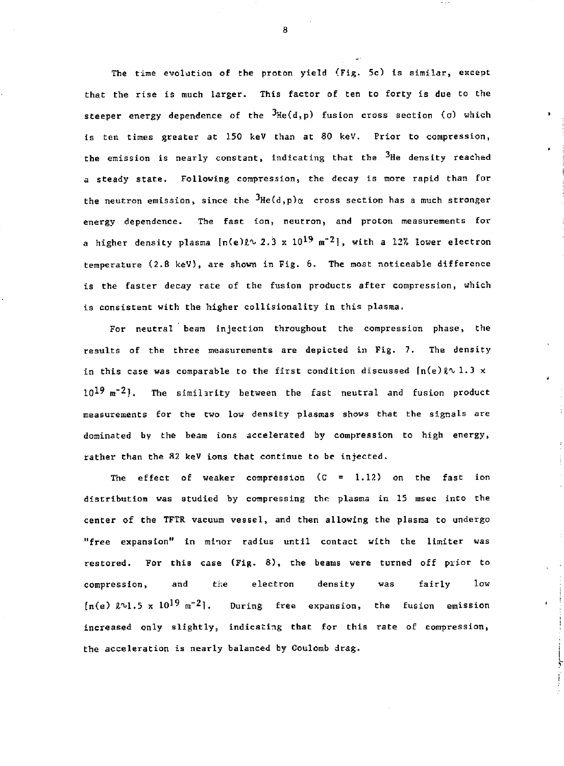The time evolution of the proton yield (Fig. 5c) is similar, except that the rise is much larger. This factor of ten to forty is due to the steeper energy dependence of the  $3$ He(d,p) fusion cross section (o) which is ten times greater at 150 keV than at 80 keV. Prior to compression, the emission is nearly constant, indicating that the <sup>3</sup>He density reached a steady state. Following compression, the decay is more rapid than for the neutron emission, since the  $3He(d,p)\alpha$  cross section has a much stronger energy dependence. The fast ion, neutron, and proton measurements for a higher density plasma  $[n(e)\ell \sim 2.3 \times 10^{19} \text{ m}^{-2}]$ , with a 12% lower electron temperature (2.8 keV), are shown in Fig. 6. The most noticeable difference is the faster decay rate of the fusion products after compression, which is consistent with the higher collisionality in this plasma.

For neutral beam injection throughout the compression phase, the results of the three measurements are depicted in Fig. 7. The density in this case was comparable to the first condition discussed  $\lceil n(e) \rceil \sqrt{1 \cdot 3} \times 1$  $10^{19}$  m<sup>-2</sup>). The similarity between the fast neutral and fusion product measurements for the two low density plasmas shows that the signals are dominated by the beam ions accelerated by compression to high energy, rather than the 82 keV ions that continue to be injected.

The effect of weaker compression  $(C = 1.12)$  on the fast ion distribution was studied by compressing the plasma in 15 msec into the center of the TFTR vacuum vessel, and then allowing the plasma to undergo "free expansion" in minor radius until contact with the limiter was restored. For this case (Fig. 8), the beams were turned off prior to compression, and the electron density was fairly low  $[n(e) \ell \nu 1.5 \times 10^{19} \text{ m}^{-2}]$ . During free expansion, the fusion emission increased only slightly, indicating that for this rate of compression, the acceleration is nearly balanced by Coulomb drag.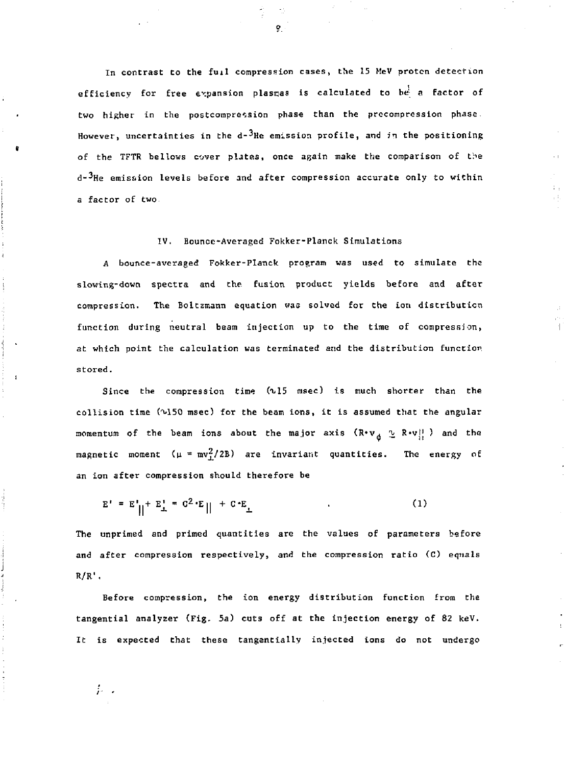In contrast to the full compression cases, the 15 HeV proton detection efficiency for free expansion plasmas is calculated to be a factor of two higher in the postcompression phase than the prccompression phase - However, uncertainties in the  $d-3$ He emission profile, and in the positioning of the TFTR bellows cover pljtes, once again make the comparison of the  $d-<sup>3</sup>$ He emission levels before and after compression accurate only to within a factor of two

# IV. Bounce-Averaged Fokker-Planck Simulations

A bounce-averaged Fokker-Planck program was used to simulate the slowing-down spectra and the fusion product yields before and after compression. The Boltzmann equation was solved for Che ion distribution function during neutral beam injection up to the time of compression, at which point the calculation was terminated and the distribution function stored.

Since the compression time  $(0.15$  msec) is much shorter than the collision time (M50 msec) for the beam ions, it is assumed that the angular momentum of the beam ions about the major axis  $(\mathbb{R} \cdot \mathbb{V}_{\frac{1}{10}} \supseteq \mathbb{R} \cdot \mathbb{V}_{\frac{1}{10}}^+ )$  and the magnetic moment ( $\mu = mv_1^2/2B$ ) are invariant quantities. The energy of an ion after compression should therefore be

$$
E' = E' || + E'_{\perp} = C^2 \cdot E || + C \cdot E_{\perp}
$$
 (1)

The unprimed and primed quantities are the values of parameters before and after compression respectively, and the compression ratio (C) equals  $R/R$ .

Before compression, the ion energy distribution function from the tangential analyzer (Fig. *5a}* cuts off at the injection energy of 82 keV. It is expected that these tangentially injected ions do not undergo

 $\ddot{r}$  .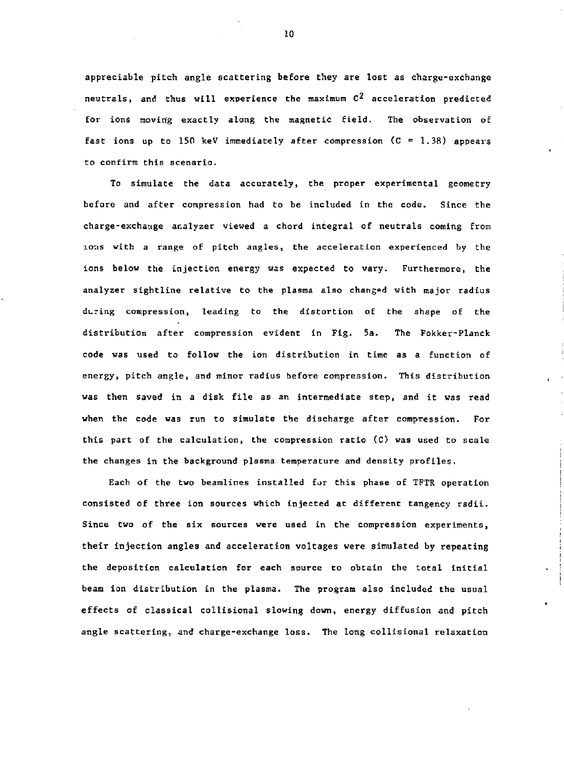appreciable pitch angle scattering before they are lost as charge-exchange neutrals, and thus will experience the maximum  $C^2$  acceleration predicted for ions moving exactly along the magnetic field. The observation of fast ions up to 150 keV immediately after compression  $(C = 1.38)$  appears to confirm this scenario.

To simulate the data accurately, the proper experimental geometry before and after compression had to be included in the code. Since the charge-exchange analyzer viewed a chord integral of neutrals coming from ions with a range of pitch angles, the acceleration experienced by the ions below the injection energy was expected to vary. Furthermore, the analyzer sightline relative to the plasma also changed with major radius during compression, leading to the distortion of the shape of the distribution after compression evident in Fig. 5a. The Fokker-Planck code was used to follow the ion distribution in time as a function of energy, pitch angle, and minor radius before compression. This distribution was then saved in a disk file as an intermediate step, and it was read when the code was run to simulate the discharge after compression. For this part of the calculation, the compression ratio (C) was used to scale the changes in the background plasma temperature and density profiles.

Each of the two beamlines installed for this phase of TFTR operation consisted of three ion sources which injected at different tangency radii. Since two of the six sources were used in the compression experiments, their injection angles and acceleration voltages were simulated by repeating the deposition calculation for each source to obtain the total initial beam ion distribution in the plasma. The program also included the usual effects of classical collisional slowing down, energy diffusion and pitch angle scattering, and charge-exchange loss. The long collisional relaxation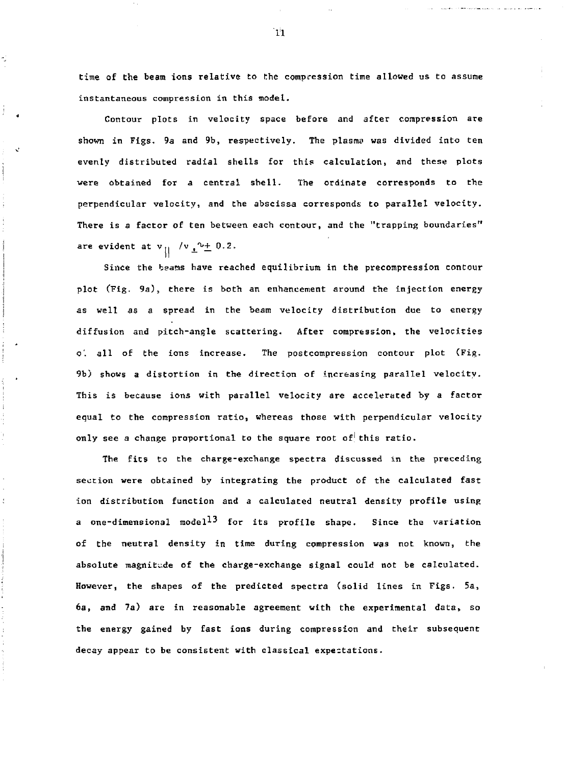time of the beam ions relative to the compression time allowed us to assume instantaneous compression in this model.

Contour plots in velocity space before and after compression are shown in Figs, 9a and 9b, respectively. The plasma was divided into ten evenly distributed radial shells for this calculation, and these plots were obtained for a central shell. The ordinate corresponds to the perpendicular velocity, and the abscissa corresponds to parallel velocity. There is a factor of ten between each contour, and the "trapping boundaries" are evident at  $v_{\parallel}$  / $v_{\perp}^{\prime}v_{\pm}$  0.2.

Since the beams have reached equilibrium in the precompression contour plot (Fig. 9a), there is both an enhancement around the injection energy as well as a spread in the beam velocity distribution due to energy diffusion and pitch-angle scattering. After compression, the velocities o'. all of the ions increase. The postcompression contour plot (Fig. 9b) shows a distortion in the direction of increasing parallel velocity. This is because ions with parallel velocity are accelerated by a factor equal to the compression ratio, whereas those with perpendicular velocity only see a change proportional to the square root of this ratio.

The fits to the charge-exchange spectra discussed in the preceding section were obtained by integrating the product of the calculated fast ion distribution function and a calculated neutral density profile using a one-dimensional model<sup>13</sup> for its profile shape. Since the variation of the neutral density in time during compression was not known, the absolute magnitude of the charge-exchange signal could not be calculated. However, the shapes of the predicted spectra (solid lines in Figs. 5a, 6a, and 7a) are in reasonable agreement with the experimental data, so the energy gained by fast ions during compression and their subsequent decay appear to be consistent with classical expectations.

 $1<sup>i</sup>1$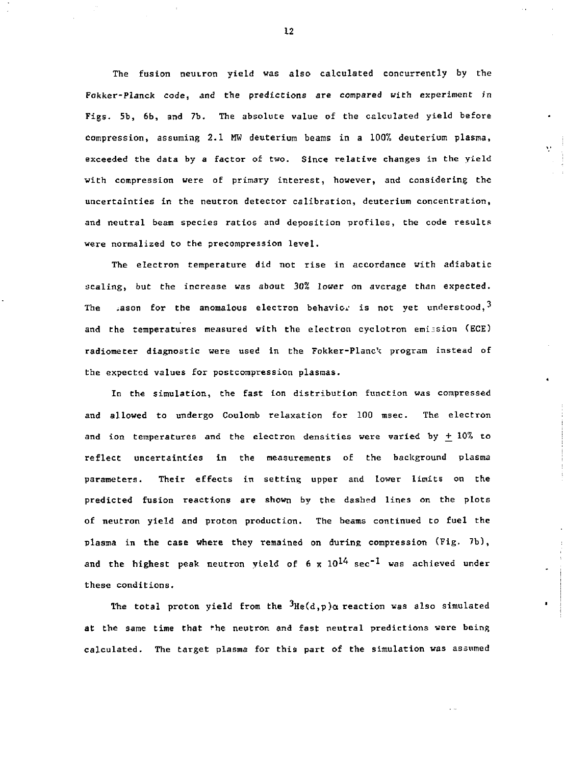The fusion neutron yield was also calculated concurrently by the Fokker-Planck code, and the predictions are compared with experiment in Figs. 5b, 6b, and 7b. The absolute value of the calculated yield before compression, assuming 2.1 MW deuterium beams in a 100% deuterium plasma, exceeded the data by a factor of two. Since relative changes in the yield with compression were of primary interest, however, and considering the uncertainties in the neutron detector calibration, deuterium concentration, and neutral beam species ratios and deposition profiles, the code results were normalized to the precompression level.

The electron temperature did not rise in accordance with adiabatic scaling, but the increase was about 30% lower on average than expected. The .ason for the anomalous electron behavior is not yet understood,  $3$ and the temperatures measured with the electron cyclotron emission (ECE) radiometer diagnostic were used in the Fokker-Planck program instead of the expected values for postcompression plasmas.

In the simulation, the fast ion distribution function was compressed and allowed to undergo Coulomb relaxation for 100 msec. The electron and ion temperatures and the electron densities were varied by *+\_* 10% to reflect uncertainties in the measurements of the background plasma parameters. Their effects in setting upper and lower limits on the predicted fusion reactions are shown by the dashed lines on the plots of neutron yield and proton production. The beams continued to fuel the plasma in the case where they remained on during compression (Fig. 7b), and the highest peak neutron yield of 6 x  $10^{14}$  sec<sup>-1</sup> was achieved under these conditions.

The total proton yield from the <sup>3</sup>He(d,p)a reaction was also simulated at the same time that the neutron and fast neutral predictions were being calculated. The target plasma for this part of the simulation was assumed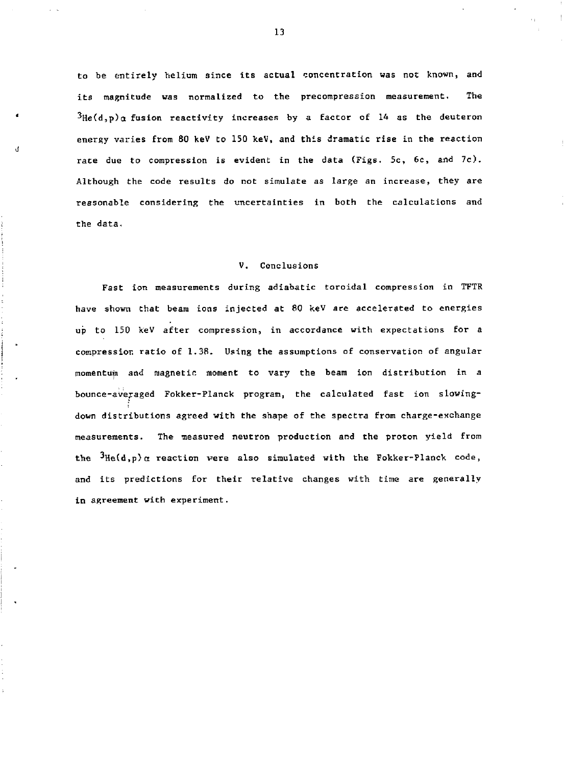to be entirely helium since its actual concentration was not known, and its magnitude was normalized to the precompression measurement. The  ${}^{3}$ He(d,p)a fusion reactivity increases by a factor of 14 as the deuteron energy varies from 80 keV to 150 keV, and this dramatic rise in the reaction rate due to compression is evident in the data (Figs. 5c, 6c, and 7c). Although the code results do not simulate as large an increase, they are reasonable considering the uncertainties in both the calculations and the data,

# V. Conclusions

Fast ion measurements during adiabatic toroidal compression in TFTR have shown that beam ions injected at 80 keV are accelerated to energies up to 150 keV after compression, in accordance with expectations for a compression ratio of 1.38. Using the assumptions of conservation of angular momentum and magnetic moment to vary the beam ion distribution in a bounce-averaged Fokker-Planck program, the calculated fast ion slowingdown distributions agreed with the shape of the spectra from charge-exchange measurements. The measured neutron production and the proton yield from the  $3\text{He}(d,p)\alpha$  reaction were also simulated with the Fokker-Planck code, and its predictions for their relative changes with time are generally in agreement with experiment.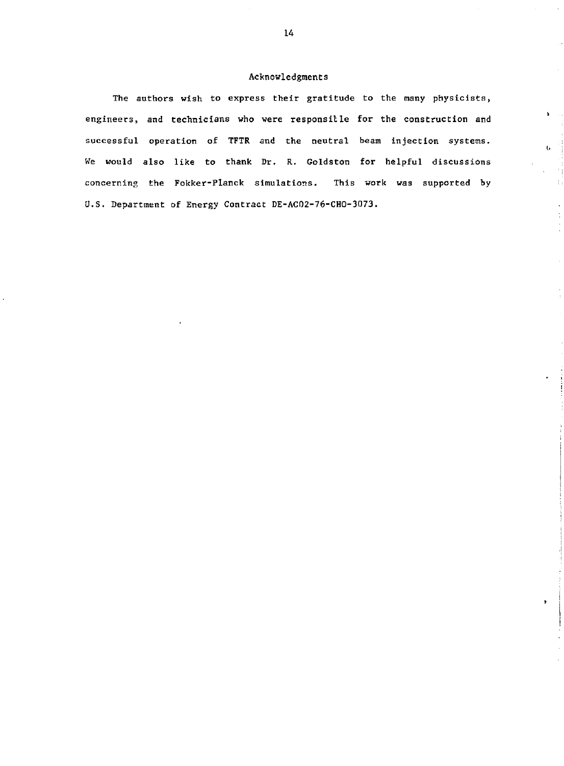# Acknowledgments

The authors wish to express their gratitude to the many physicists, engineers, and technicians who were responsille for the construction and successful operation of TFTR and the neutral beam injection systems. *We* would also like to thank Dr. R. Goldston for helpful discussions concerning the Fokker-Planck simulations. This work was supported hy U.S. Department of Energy Contract DE-AC02-76-CHO-3073.

 $\mathbf{Y}=\mathbf{X}$ 

 $\mathbf{b}$  .

÷, ÷,

 $\ddot{\phantom{a}}$ 

 $\mathbf{r}$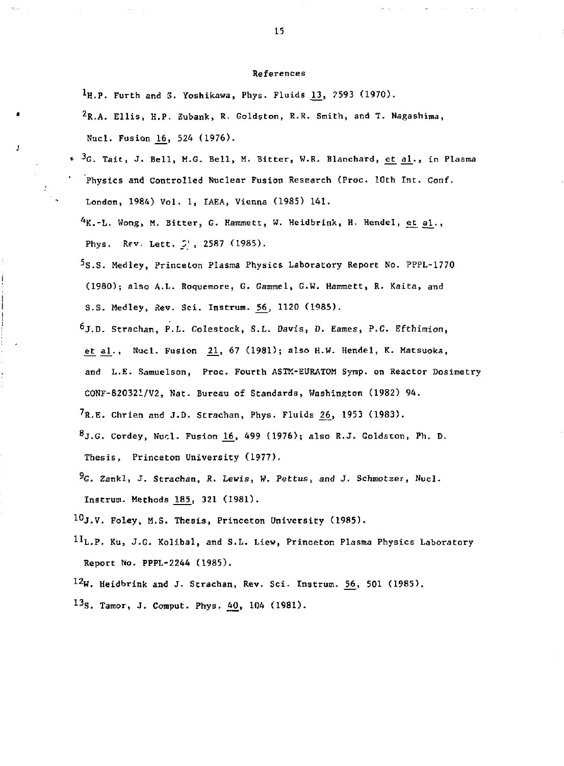#### References

 $1_H$ .P. Furth and S. Yoshikawa, Phys. Fluids 13, 2593 (1970).

 $2R.A.$  Ellis, H.P. Eubank, R. Goldston, R.R. Smith, and T. Nagashima, Nucl. Fusion *16\_,* 524 (1976).

- \* <sup>3</sup>G. Tait, J. Bell, M.G. Bell, M. Bitter, W.R. Blanchard, et al., in Plasma Physics and Controlled Nuclear Fusion Research (Proc. 10th Int. Conf. London, 1984) Vol. 1, IAEA, Vienna (1985) 141.
	- $^4$ K.-L. Wong, M. Bitter, G. Hammett, W. Heidbrink, H. Hendel, et al., Phys. Rev. Lett. 5', 2587 (1985).
	- 5s.S. Medley, Princeton Plasma Physics Laboratory Report No. PPPL-1770 (1980); also A.L. Roquemore, G. Gammel, G.W. Hammett, R. Kaita, and S.S. Medley, Rev. Sci. Instrum. 56, 1120 (1985).
	- 6j,D. Strachan, P.L. Colestock, S.L. Davis, D. Eames, P.C. Efthimion, <u>et al</u>., Nucl. Fusion 21, 67 (1981); also H.W. Hendel, K. Matsuoka, and L.E. Samuelson, Proc. Fourth ASTK-EURATOM Symp. on Reactor Dosimetry C0NF-820321/V2, Nat- Bureau of Standards, Washington (1982) 94.  $7R.E.$  Chrien and J.D. Strachan, Phys. Fluids  $26$ , 1953 (1983).  $8$ J.G. Cordey, Nucl. Fusion 16, 499 (1976); also R.J. Goldston, Ph. D.
	- Thesis, Princeton University (1977).
	- \*G. Zankl, *J.* Strachan, R. *Lewis,* W. Pettus, and J. Schmotzer, Nucl. Instrum. Methods 185, 321 (1981).

 $10$ J.V. Foley, M.S. Thesis, Princeton University (1985).

 $^{11}$ L.P. Ku, J.G. Kolibal, and S.L. Liew, Princeton Plasma Physics Laboratory Report No. PPPL-2244 (1985).

12w. Heidbrink and J. Strachan, Rev. Sci. Instrum. 56, 501 (1985).

13<sub>S.</sub> Tamor, J. Comput. Phys. 40, 104 (1981).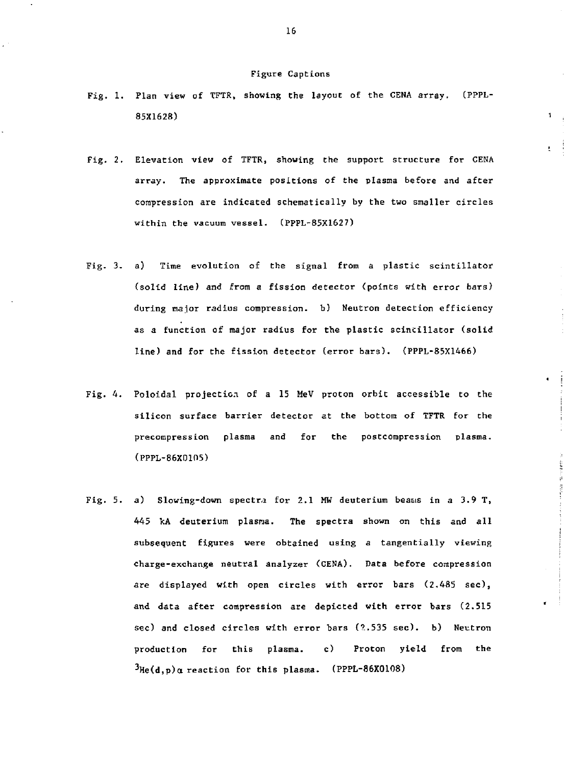#### Figure Captions

Fig. 1. Plan view of TFTR, showing the layout of the CENA array. (PPPL-85X1628)

1

- Fig. *2.* Elevation view of TFTR, showing the support structure for CENA array. The approximate positions of Che plasma before and after compression are indicated schematically by the two smaller circles within the vacuum vessel. (PPPL-85X1627)
- Fig. 3. a) Time evolution of the signal from a plastic scintillator (solid line) and from a fission detector (points with error bars) during major radius compression. b) Neutron detection efficiency as a function of major radius for the plastic scincillator (solid line) and for the fission detector (error bars). (PPPL-85X1466)
- Fig. 4. Poloidal projection of a 15 MeV proton orbit accessible to the silicon surface barrier detector at the bottom of TFTR for the precompression plasma and for the postcompression plasma. (PPPL-86X0105)
- Fig. 5. a) Slowing-down spectra for 2.1 MW deuterium beams in a 3.9 T, 445 kA deuterium plasma. The spectra shown on this and all subsequent figures were obtained using a tangentially viewing charge-exchange neutral analyzer (CENA). Data before compression are displayed with open circles with error bars (2.485 sec), and data after compression are depicted with error bars (2.515 sec) and closed circles with error bars (2.535 sec). b) Neutron production for this plasma. c) Proton yield from the  $3$ He(d,p)a reaction for this plasma. (PPPL-86X0108)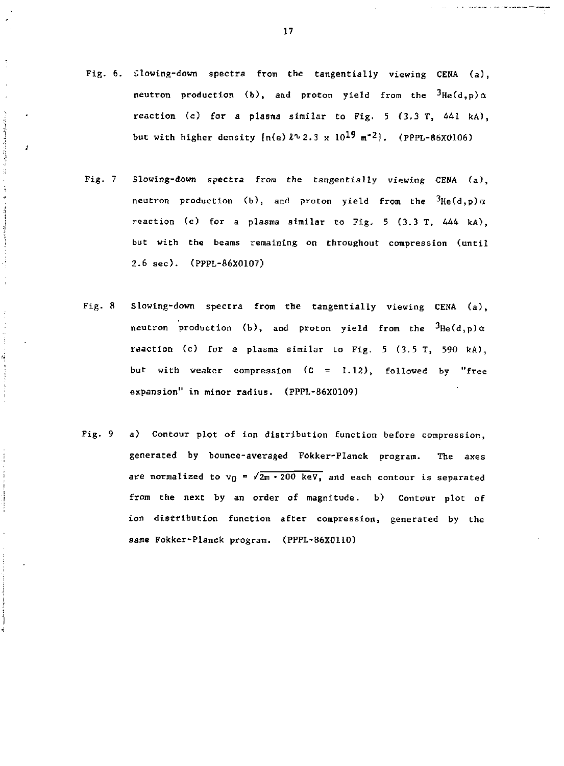Fig. 6. Slowing-down spectra from the tangentially viewing CENA (a), neutron production (b), and proton yield from the  $^3$ He(d,p)a reaction (c) for a plasma similar to Fig. 5 (3.3 T, 441 kA), but with higher density  $\{n(e) \ell^2 2.3 \times 10^{19} \text{ m}^{-2} \}$ . (PPPL-86X0106)

**Simple and the contract of the state** J.

ر<br>په

- Fig. 7 Slowing-down spectra from the tangentially viewing CENA (a), neutron production (b), and proton yield from the  $^3$ He(d,p)a reaction (c) for a plasma similar to Fig, 5 (3.3 T, 444 kA), but with the beams remaining on throughout compression (until 2.6 sec). (PPPL-86X0107)
- Fig. 8 Slowing-down spectra from the tangentially viewing CENA (a), neutron production (b), and proton yield from the  $^3$ He(d,p)a reaction (c) for *a* plasma similar to Fig. 5 (3.5 T, 590 kA), but with weaker compression (C = 1.12), followed by "free expansion" in minor radius. (PPPL-B6X0109)
- Fig. 9 a) Contour plot of ion distribution function before compression, generated by bounce-averaged Fokker-Planck program. The axes are normalized to  $v_0 = \sqrt{2m \cdot 200 \text{ keV}}$ , and each contour is separated from the next by an order of magnitude. b) Contour plot of ion distribution function after compression, generated by the sane Fokker-Planck program. (PPPL-86X0110)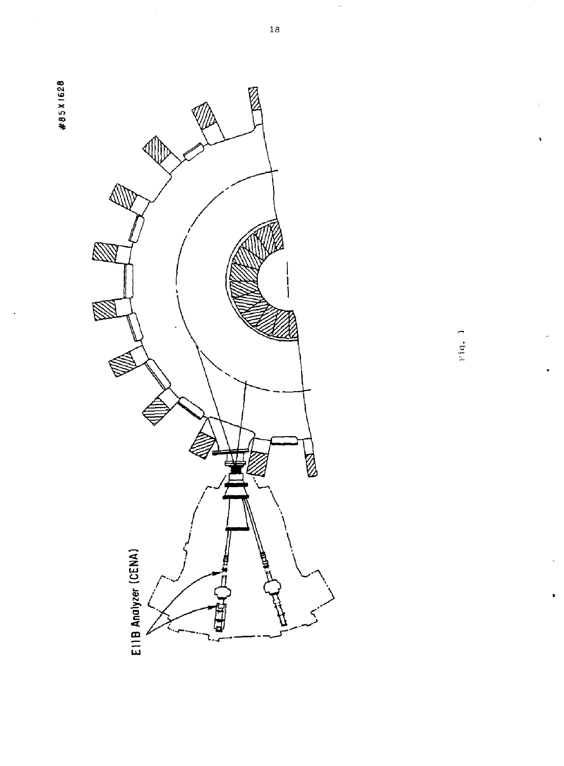



 $V(q_+)$ 

 $\tilde{\textbf{t}}$ 

 $\hat{\theta}$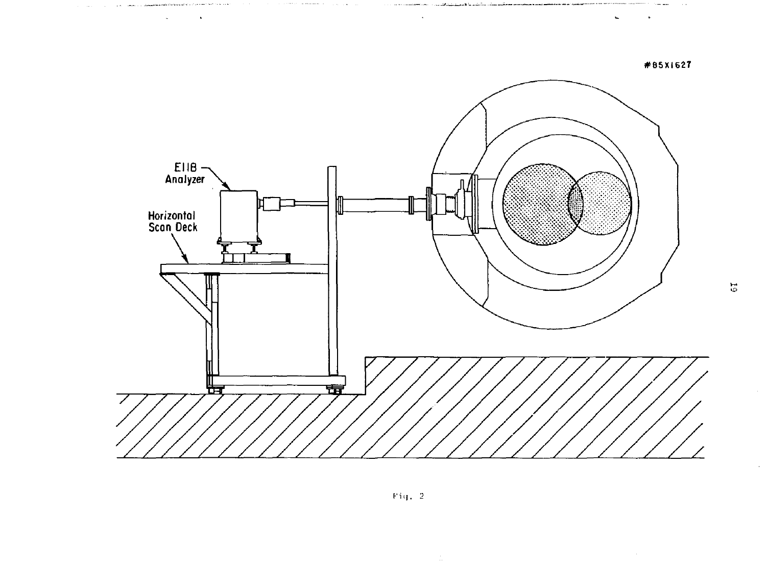

 $\ddot{\phantom{a}}$ 

 $\Delta \sim 1$ 

 $\lambda$ 

 $\vec{5}$ 

 $\omega$ 

 $\mathbf{u}$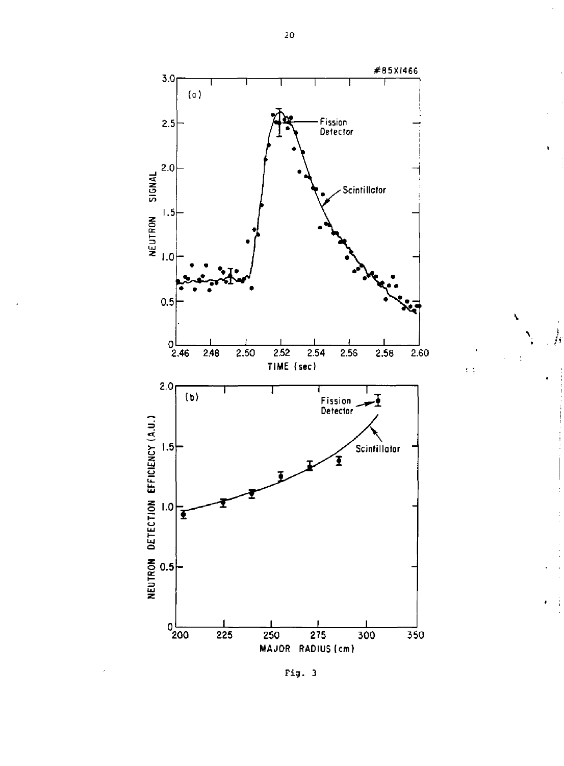

N

 $\ddot{\phi}$ 

)<br>A

**Fig. 3**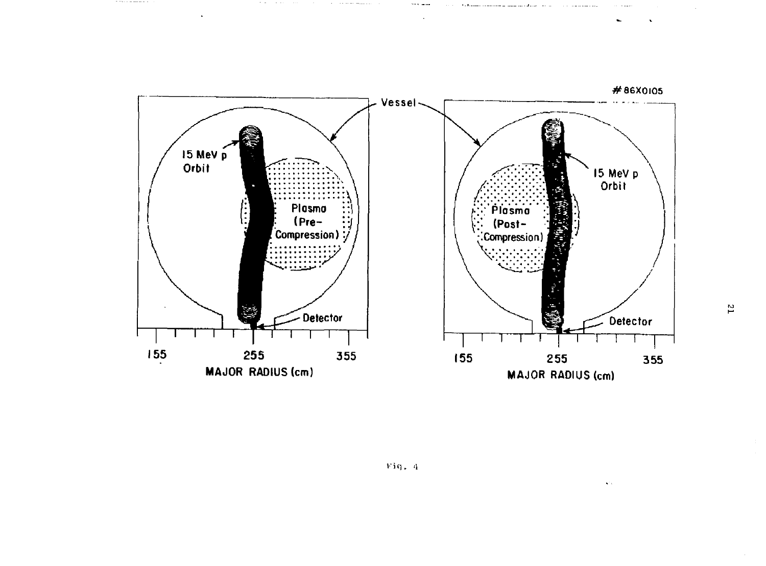

Fiq.  $4$ 

 $\overline{\mathbf{r}}$ 

 $\ddot{\phantom{0}}$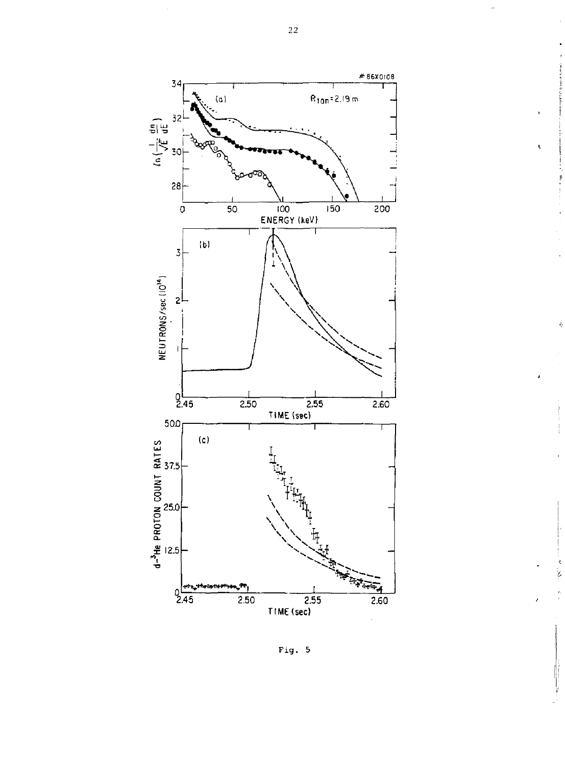

Fig . 5

ż

 $\overline{2}\,\overline{2}$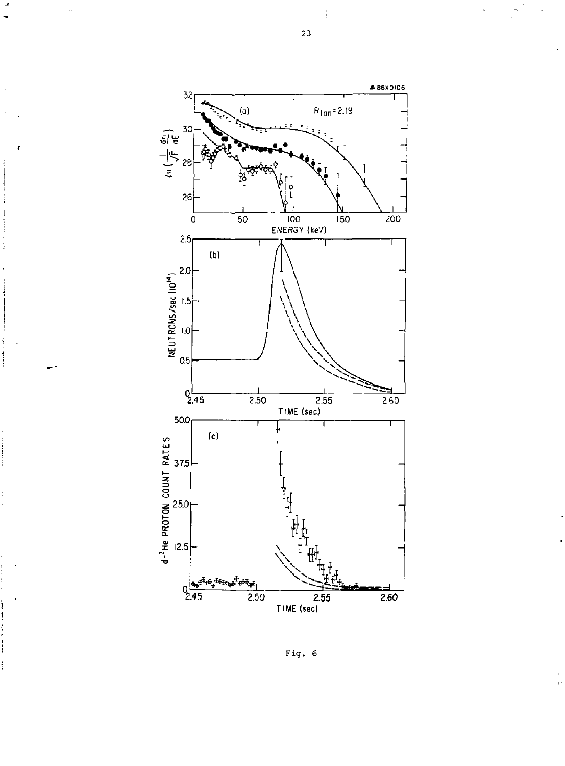

Pig. 6

 $\overline{\phantom{a}}$ 

t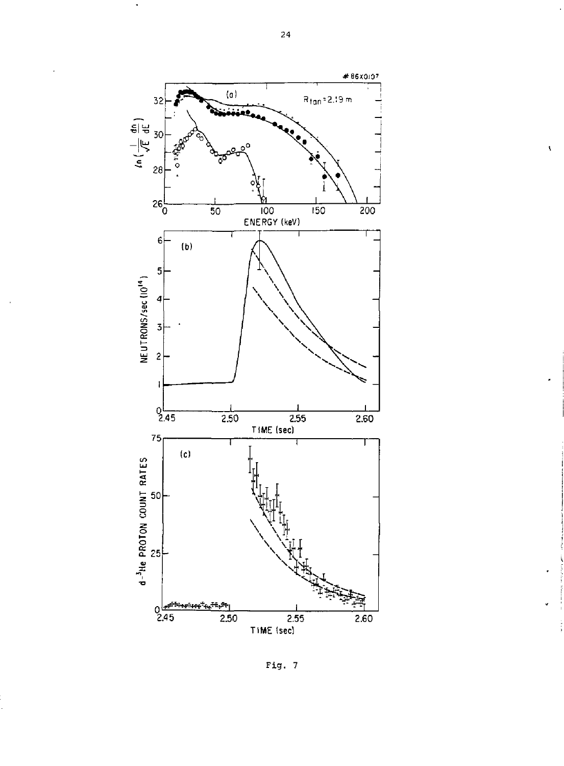

Fig. 7

 $\bar{\mathbf{v}}$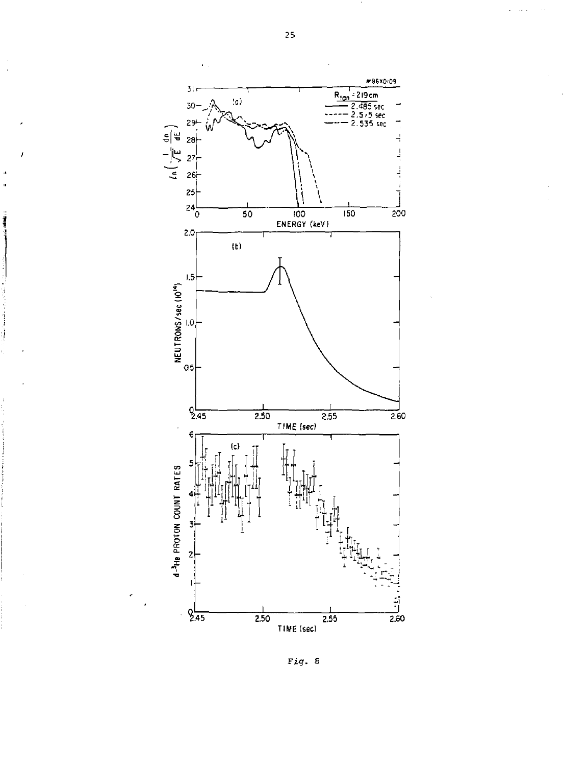

Fig. 8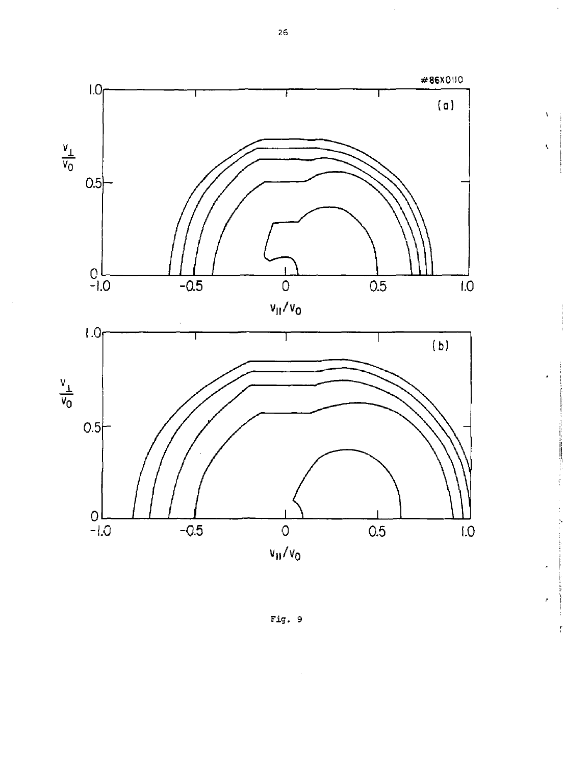

Fig. 9

 $\overline{26}$ 

 $\bar{\mathbf{V}}$ 

 $\bar{\zeta}$ 

ŗ